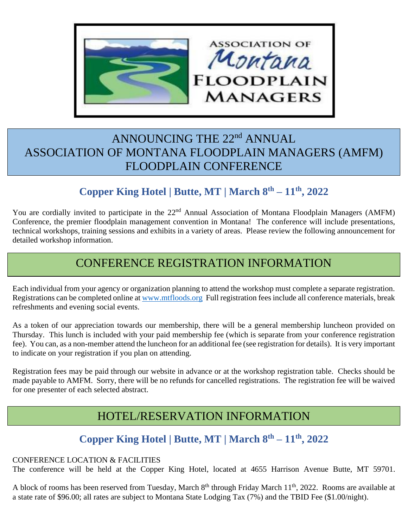

## ANNOUNCING THE 22<sup>nd</sup> ANNUAL ASSOCIATION OF MONTANA FLOODPLAIN MANAGERS (AMFM) FLOODPLAIN CONFERENCE

## **Copper King Hotel | Butte, MT | March 8 th – 11 th, 2022**

You are cordially invited to participate in the 22<sup>nd</sup> Annual Association of Montana Floodplain Managers (AMFM) Conference, the premier floodplain management convention in Montana! The conference will include presentations, technical workshops, training sessions and exhibits in a variety of areas. Please review the following announcement for detailed workshop information.

## CONFERENCE REGISTRATION INFORMATION

Each individual from your agency or organization planning to attend the workshop must complete a separate registration. Registrations can be completed online at [www.mtfloods.org](http://www.mtfloods.org/) Full registration fees include all conference materials, break refreshments and evening social events.

As a token of our appreciation towards our membership, there will be a general membership luncheon provided on Thursday. This lunch is included with your paid membership fee (which is separate from your conference registration fee). You can, as a non-member attend the luncheon for an additional fee (see registration for details). It is very important to indicate on your registration if you plan on attending.

Registration fees may be paid through our website in advance or at the workshop registration table. Checks should be made payable to AMFM. Sorry, there will be no refunds for cancelled registrations. The registration fee will be waived for one presenter of each selected abstract.

## HOTEL/RESERVATION INFORMATION

### **Copper King Hotel | Butte, MT | March 8 th – 11 th, 2022**

#### CONFERENCE LOCATION & FACILITIES

The conference will be held at the Copper King Hotel, located at 4655 Harrison Avenue Butte, MT 59701.

A block of rooms has been reserved from Tuesday, March 8<sup>th</sup> through Friday March 11<sup>th</sup>, 2022. Rooms are available at a state rate of \$96.00; all rates are subject to Montana State Lodging Tax (7%) and the TBID Fee (\$1.00/night).